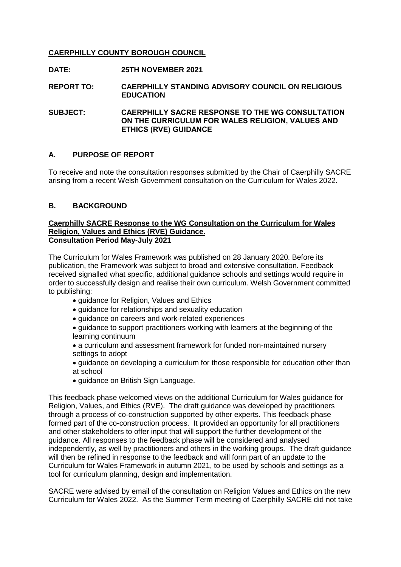# **CAERPHILLY COUNTY BOROUGH COUNCIL**

- **DATE: 25TH NOVEMBER 2021**
- **REPORT TO: CAERPHILLY STANDING ADVISORY COUNCIL ON RELIGIOUS EDUCATION**

**SUBJECT: CAERPHILLY SACRE RESPONSE TO THE WG CONSULTATION ON THE CURRICULUM FOR WALES RELIGION, VALUES AND ETHICS (RVE) GUIDANCE**

### **A. PURPOSE OF REPORT**

To receive and note the consultation responses submitted by the Chair of Caerphilly SACRE arising from a recent Welsh Government consultation on the Curriculum for Wales 2022.

### **B. BACKGROUND**

#### **Caerphilly SACRE Response to the WG Consultation on the Curriculum for Wales Religion, Values and Ethics (RVE) Guidance. Consultation Period May-July 2021**

The Curriculum for Wales Framework was published on 28 January 2020. Before its publication, the Framework was subject to broad and extensive consultation. Feedback received signalled what specific, additional guidance schools and settings would require in order to successfully design and realise their own curriculum. Welsh Government committed to publishing:

- guidance for Religion, Values and Ethics
- quidance for relationships and sexuality education
- guidance on careers and work-related experiences

 guidance to support practitioners working with learners at the beginning of the learning continuum

- a curriculum and assessment framework for funded non-maintained nursery settings to adopt
- guidance on developing a curriculum for those responsible for education other than at school
- guidance on British Sign Language.

This feedback phase welcomed views on the additional Curriculum for Wales guidance for Religion, Values, and Ethics (RVE). The draft guidance was developed by practitioners through a process of co-construction supported by other experts. This feedback phase formed part of the co-construction process. It provided an opportunity for all practitioners and other stakeholders to offer input that will support the further development of the guidance. All responses to the feedback phase will be considered and analysed independently, as well by practitioners and others in the working groups. The draft guidance will then be refined in response to the feedback and will form part of an update to the Curriculum for Wales Framework in autumn 2021, to be used by schools and settings as a tool for curriculum planning, design and implementation.

SACRE were advised by email of the consultation on Religion Values and Ethics on the new Curriculum for Wales 2022. As the Summer Term meeting of Caerphilly SACRE did not take